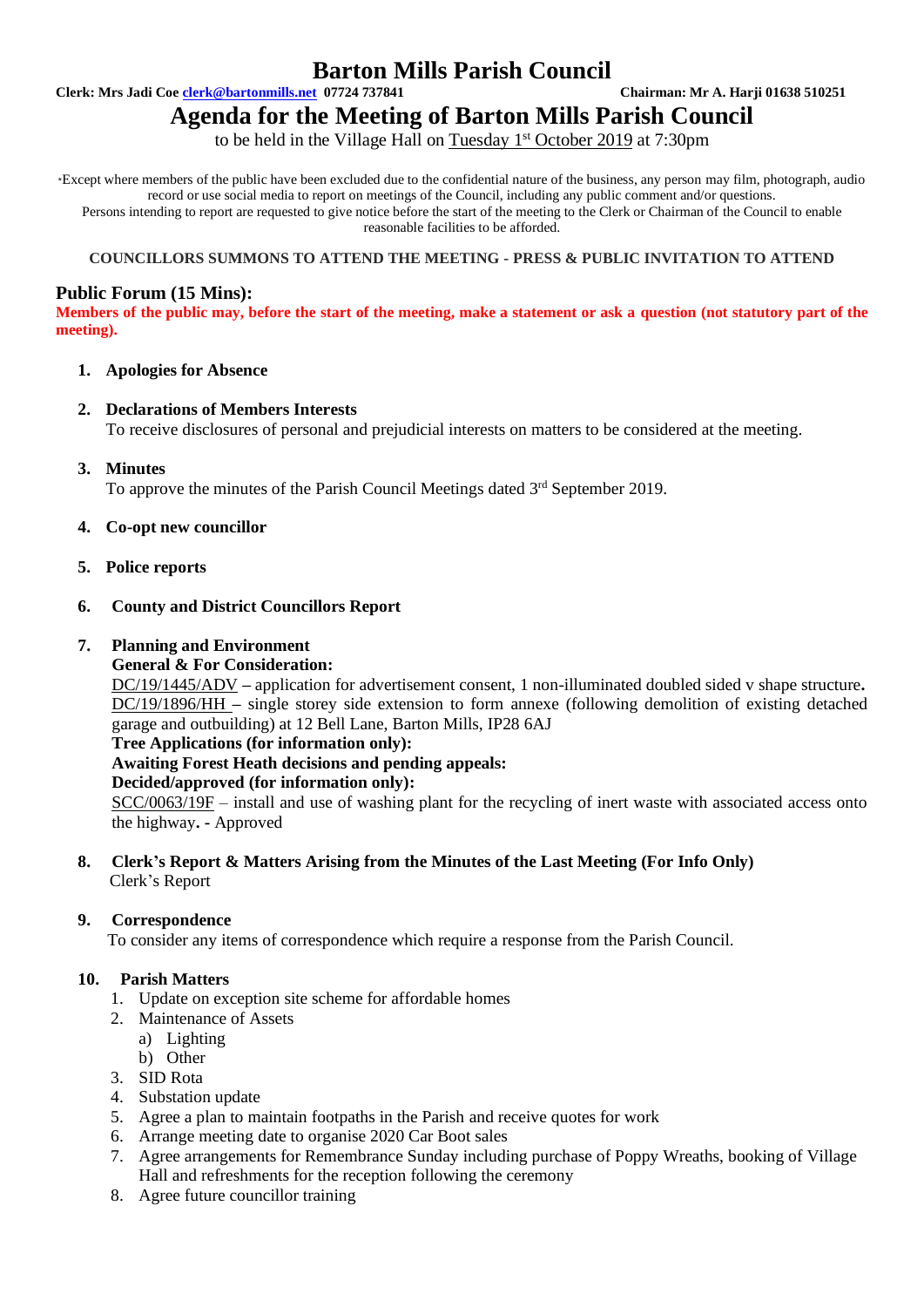# **Barton Mills Parish Council**

**Clerk: Mrs Jadi Coe [clerk@bartonmills.net](mailto:clerk@bartonmills.net) 07724 737841 Chairman: Mr A. Harji 01638 510251**

# **Agenda for the Meeting of Barton Mills Parish Council**

to be held in the Village Hall on Tuesday 1<sup>st</sup> October 2019 at 7:30pm

\*Except where members of the public have been excluded due to the confidential nature of the business, any person may film, photograph, audio record or use social media to report on meetings of the Council, including any public comment and/or questions. Persons intending to report are requested to give notice before the start of the meeting to the Clerk or Chairman of the Council to enable reasonable facilities to be afforded.

#### **COUNCILLORS SUMMONS TO ATTEND THE MEETING - PRESS & PUBLIC INVITATION TO ATTEND**

# **Public Forum (15 Mins):**

**Members of the public may, before the start of the meeting, make a statement or ask a question (not statutory part of the meeting).**

#### **1. Apologies for Absence**

#### **2. Declarations of Members Interests**

To receive disclosures of personal and prejudicial interests on matters to be considered at the meeting.

**3. Minutes**

To approve the minutes of the Parish Council Meetings dated 3<sup>rd</sup> September 2019.

- **4. Co-opt new councillor**
- **5. Police reports**

## **6. County and District Councillors Report**

#### **7. Planning and Environment**

#### **General & For Consideration:**

DC/19/1445/ADV **–** application for advertisement consent, 1 non-illuminated doubled sided v shape structure**.** DC/19/1896/HH **–** single storey side extension to form annexe (following demolition of existing detached garage and outbuilding) at 12 Bell Lane, Barton Mills, IP28 6AJ

**Tree Applications (for information only):**

#### **Awaiting Forest Heath decisions and pending appeals:**

**Decided/approved (for information only):**

SCC/0063/19F – install and use of washing plant for the recycling of inert waste with associated access onto the highway**. -** Approved

#### **8. Clerk's Report & Matters Arising from the Minutes of the Last Meeting (For Info Only)** Clerk's Report

#### **9. Correspondence**

To consider any items of correspondence which require a response from the Parish Council.

# **10. Parish Matters**

- 1. Update on exception site scheme for affordable homes
- 2. Maintenance of Assets
	- a) Lighting
	- b) Other
- 3. SID Rota
- 4. Substation update
- 5. Agree a plan to maintain footpaths in the Parish and receive quotes for work
- 6. Arrange meeting date to organise 2020 Car Boot sales
- 7. Agree arrangements for Remembrance Sunday including purchase of Poppy Wreaths, booking of Village Hall and refreshments for the reception following the ceremony
- 8. Agree future councillor training